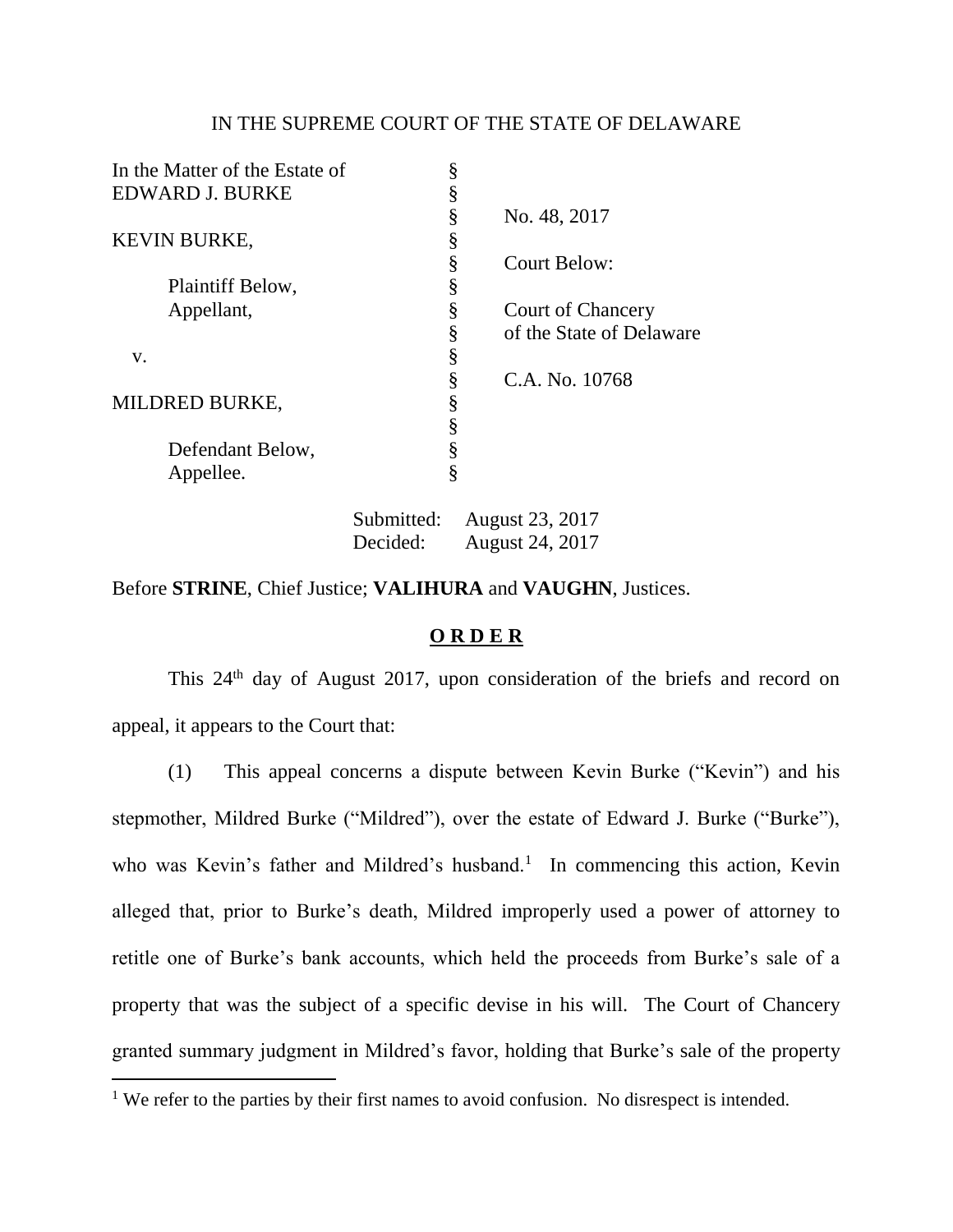## IN THE SUPREME COURT OF THE STATE OF DELAWARE

| In the Matter of the Estate of | § |                          |
|--------------------------------|---|--------------------------|
| <b>EDWARD J. BURKE</b>         | § |                          |
|                                | § | No. 48, 2017             |
| <b>KEVIN BURKE,</b>            | § |                          |
|                                | § | Court Below:             |
| Plaintiff Below,               | § |                          |
| Appellant,                     | § | <b>Court of Chancery</b> |
|                                | § | of the State of Delaware |
| V.                             | § |                          |
|                                | § | C.A. No. 10768           |
| <b>MILDRED BURKE,</b>          | ş |                          |
|                                | § |                          |
| Defendant Below,               |   |                          |
| Appellee.                      | § |                          |
|                                |   |                          |

Submitted: August 23, 2017 Decided: August 24, 2017

Before **STRINE**, Chief Justice; **VALIHURA** and **VAUGHN**, Justices.

## **O R D E R**

This 24th day of August 2017, upon consideration of the briefs and record on appeal, it appears to the Court that:

(1) This appeal concerns a dispute between Kevin Burke ("Kevin") and his stepmother, Mildred Burke ("Mildred"), over the estate of Edward J. Burke ("Burke"), who was Kevin's father and Mildred's husband.<sup>1</sup> In commencing this action, Kevin alleged that, prior to Burke's death, Mildred improperly used a power of attorney to retitle one of Burke's bank accounts, which held the proceeds from Burke's sale of a property that was the subject of a specific devise in his will. The Court of Chancery granted summary judgment in Mildred's favor, holding that Burke's sale of the property

<sup>&</sup>lt;sup>1</sup> We refer to the parties by their first names to avoid confusion. No disrespect is intended.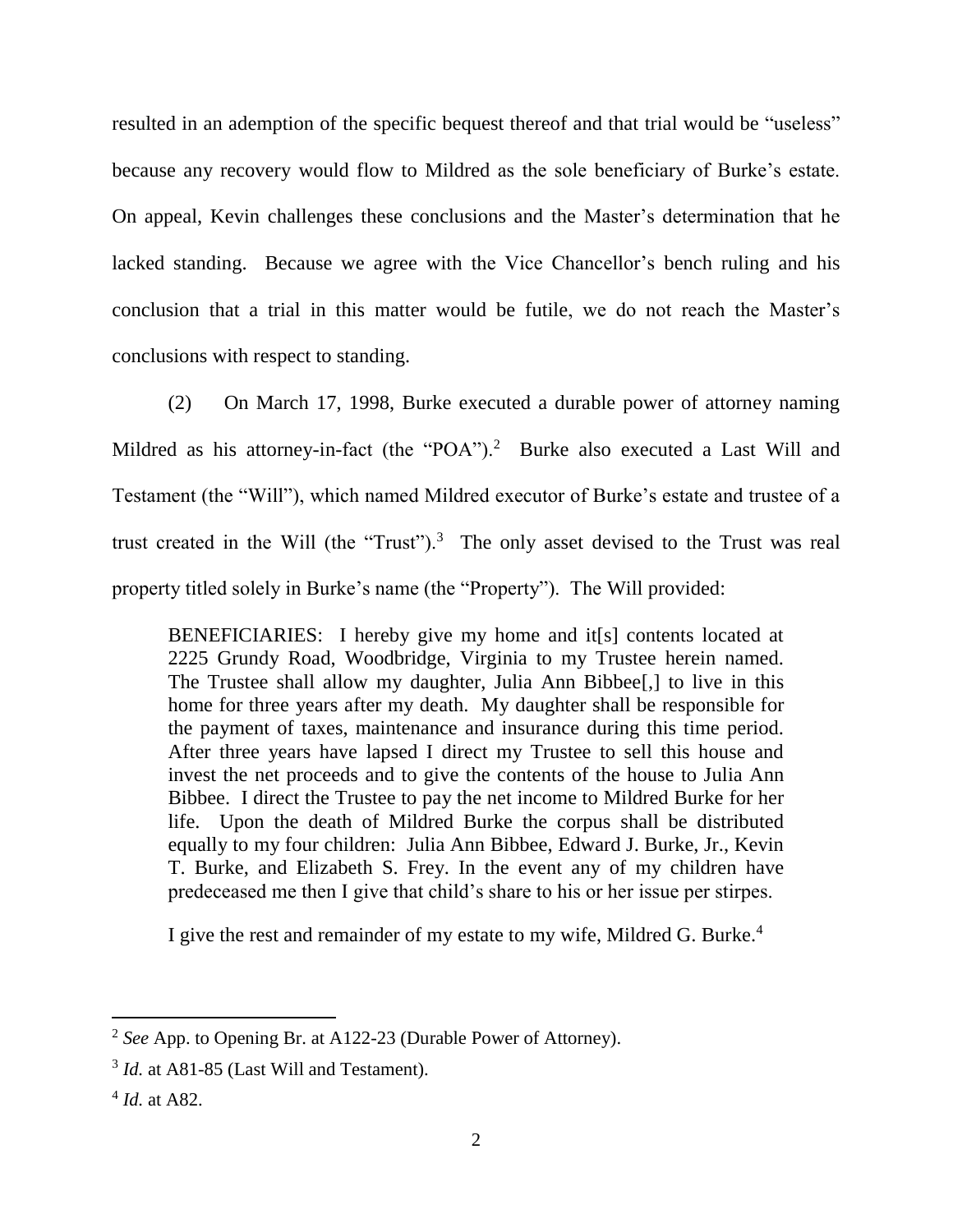resulted in an ademption of the specific bequest thereof and that trial would be "useless" because any recovery would flow to Mildred as the sole beneficiary of Burke's estate. On appeal, Kevin challenges these conclusions and the Master's determination that he lacked standing. Because we agree with the Vice Chancellor's bench ruling and his conclusion that a trial in this matter would be futile, we do not reach the Master's conclusions with respect to standing.

(2) On March 17, 1998, Burke executed a durable power of attorney naming Mildred as his attorney-in-fact (the "POA").<sup>2</sup> Burke also executed a Last Will and Testament (the "Will"), which named Mildred executor of Burke's estate and trustee of a trust created in the Will (the "Trust").<sup>3</sup> The only asset devised to the Trust was real property titled solely in Burke's name (the "Property"). The Will provided:

BENEFICIARIES: I hereby give my home and it[s] contents located at 2225 Grundy Road, Woodbridge, Virginia to my Trustee herein named. The Trustee shall allow my daughter, Julia Ann Bibbee[,] to live in this home for three years after my death. My daughter shall be responsible for the payment of taxes, maintenance and insurance during this time period. After three years have lapsed I direct my Trustee to sell this house and invest the net proceeds and to give the contents of the house to Julia Ann Bibbee. I direct the Trustee to pay the net income to Mildred Burke for her life. Upon the death of Mildred Burke the corpus shall be distributed equally to my four children: Julia Ann Bibbee, Edward J. Burke, Jr., Kevin T. Burke, and Elizabeth S. Frey. In the event any of my children have predeceased me then I give that child's share to his or her issue per stirpes.

I give the rest and remainder of my estate to my wife, Mildred G. Burke.<sup>4</sup>

l

<sup>&</sup>lt;sup>2</sup> See App. to Opening Br. at A122-23 (Durable Power of Attorney).

<sup>&</sup>lt;sup>3</sup> *Id.* at A81-85 (Last Will and Testament).

<sup>4</sup> *Id.* at A82.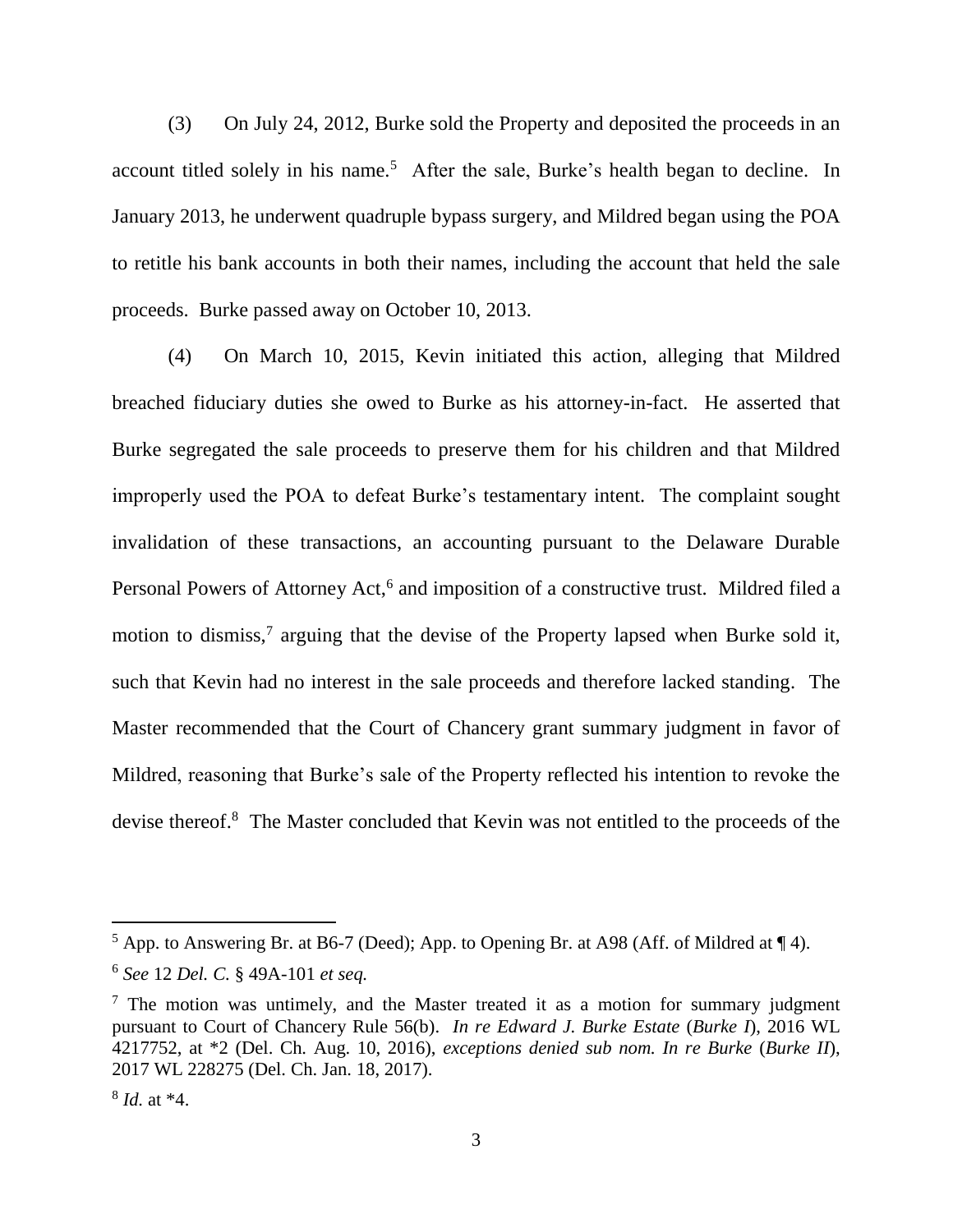(3) On July 24, 2012, Burke sold the Property and deposited the proceeds in an account titled solely in his name.<sup>5</sup> After the sale, Burke's health began to decline. In January 2013, he underwent quadruple bypass surgery, and Mildred began using the POA to retitle his bank accounts in both their names, including the account that held the sale proceeds. Burke passed away on October 10, 2013.

(4) On March 10, 2015, Kevin initiated this action, alleging that Mildred breached fiduciary duties she owed to Burke as his attorney-in-fact. He asserted that Burke segregated the sale proceeds to preserve them for his children and that Mildred improperly used the POA to defeat Burke's testamentary intent. The complaint sought invalidation of these transactions, an accounting pursuant to the Delaware Durable Personal Powers of Attorney Act,<sup>6</sup> and imposition of a constructive trust. Mildred filed a motion to dismiss,<sup>7</sup> arguing that the devise of the Property lapsed when Burke sold it, such that Kevin had no interest in the sale proceeds and therefore lacked standing. The Master recommended that the Court of Chancery grant summary judgment in favor of Mildred, reasoning that Burke's sale of the Property reflected his intention to revoke the devise thereof. <sup>8</sup> The Master concluded that Kevin was not entitled to the proceeds of the

 $5$  App. to Answering Br. at B6-7 (Deed); App. to Opening Br. at A98 (Aff. of Mildred at  $\P$  4).

<sup>6</sup> *See* 12 *Del. C.* § 49A-101 *et seq.*

 $<sup>7</sup>$  The motion was untimely, and the Master treated it as a motion for summary judgment</sup> pursuant to Court of Chancery Rule 56(b). *In re Edward J. Burke Estate* (*Burke I*), 2016 WL 4217752, at \*2 (Del. Ch. Aug. 10, 2016), *exceptions denied sub nom. In re Burke* (*Burke II*), 2017 WL 228275 (Del. Ch. Jan. 18, 2017).

<sup>8</sup> *Id.* at \*4.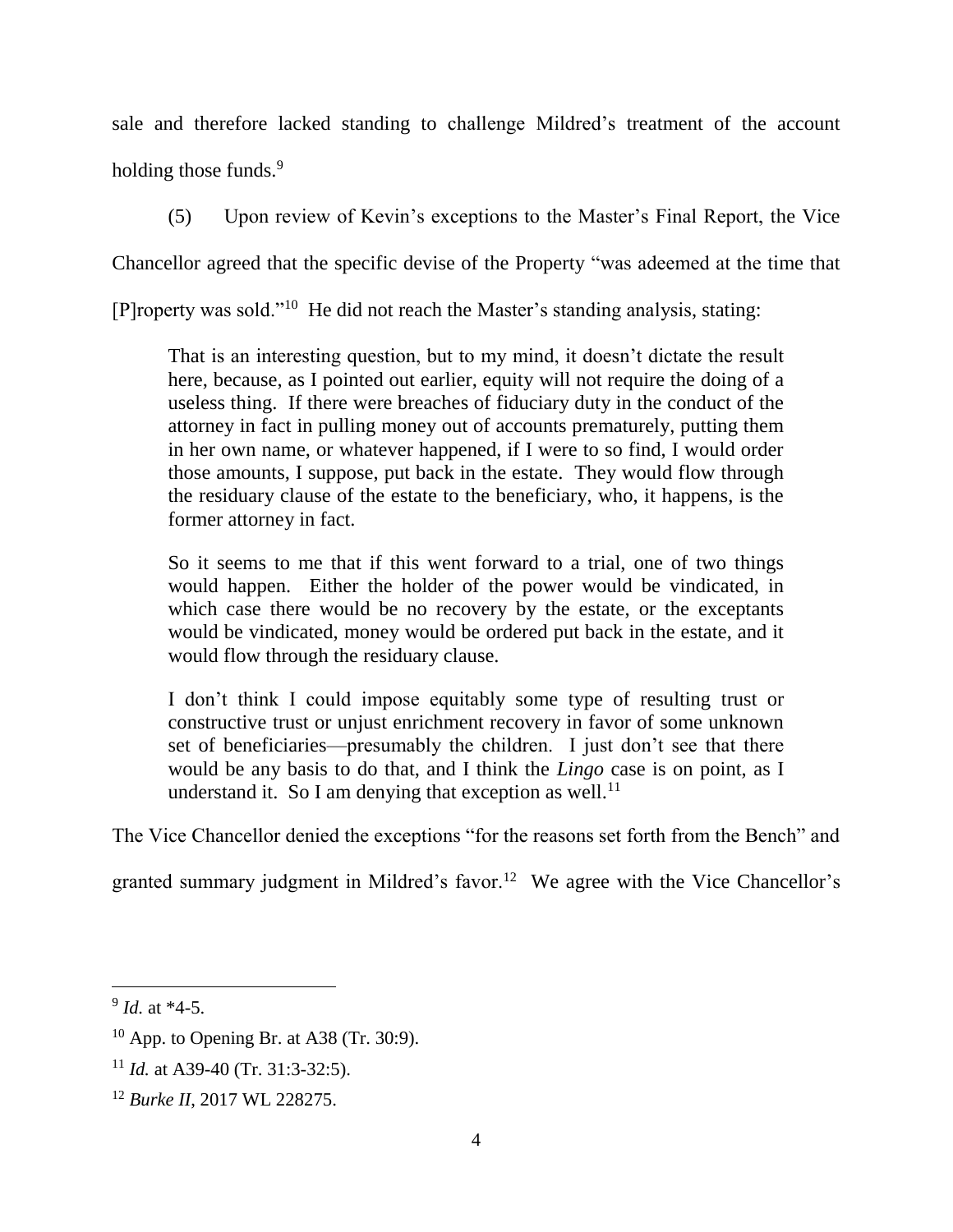sale and therefore lacked standing to challenge Mildred's treatment of the account holding those funds.<sup>9</sup>

(5) Upon review of Kevin's exceptions to the Master's Final Report, the Vice

Chancellor agreed that the specific devise of the Property "was adeemed at the time that

[P]roperty was sold."<sup>10</sup> He did not reach the Master's standing analysis, stating:

That is an interesting question, but to my mind, it doesn't dictate the result here, because, as I pointed out earlier, equity will not require the doing of a useless thing. If there were breaches of fiduciary duty in the conduct of the attorney in fact in pulling money out of accounts prematurely, putting them in her own name, or whatever happened, if I were to so find, I would order those amounts, I suppose, put back in the estate. They would flow through the residuary clause of the estate to the beneficiary, who, it happens, is the former attorney in fact.

So it seems to me that if this went forward to a trial, one of two things would happen. Either the holder of the power would be vindicated, in which case there would be no recovery by the estate, or the exceptants would be vindicated, money would be ordered put back in the estate, and it would flow through the residuary clause.

I don't think I could impose equitably some type of resulting trust or constructive trust or unjust enrichment recovery in favor of some unknown set of beneficiaries—presumably the children. I just don't see that there would be any basis to do that, and I think the *Lingo* case is on point, as I understand it. So I am denying that exception as well.<sup>11</sup>

The Vice Chancellor denied the exceptions "for the reasons set forth from the Bench" and

granted summary judgment in Mildred's favor.<sup>12</sup> We agree with the Vice Chancellor's

l

<sup>9</sup> *Id.* at \*4-5.

 $10$  App. to Opening Br. at A38 (Tr. 30:9).

<sup>&</sup>lt;sup>11</sup> *Id.* at A39-40 (Tr. 31:3-32:5).

<sup>12</sup> *Burke II*, 2017 WL 228275.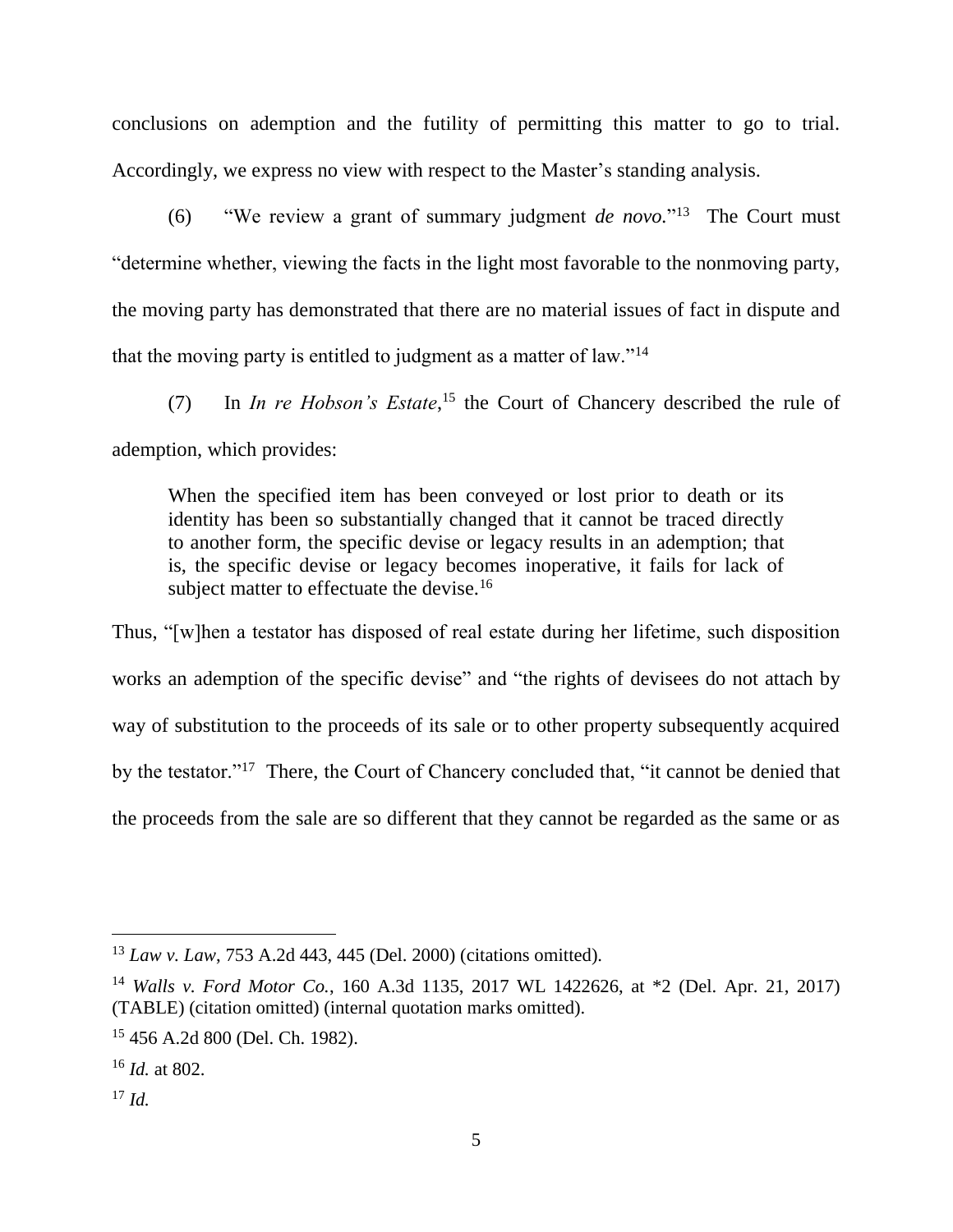conclusions on ademption and the futility of permitting this matter to go to trial. Accordingly, we express no view with respect to the Master's standing analysis.

(6) "We review a grant of summary judgment *de novo.*" 13 The Court must "determine whether, viewing the facts in the light most favorable to the nonmoving party, the moving party has demonstrated that there are no material issues of fact in dispute and that the moving party is entitled to judgment as a matter of law."<sup>14</sup>

(7) In *In re Hobson's Estate*, <sup>15</sup> the Court of Chancery described the rule of ademption, which provides:

When the specified item has been conveyed or lost prior to death or its identity has been so substantially changed that it cannot be traced directly to another form, the specific devise or legacy results in an ademption; that is, the specific devise or legacy becomes inoperative, it fails for lack of subject matter to effectuate the devise.<sup>16</sup>

Thus, "[w]hen a testator has disposed of real estate during her lifetime, such disposition works an ademption of the specific devise" and "the rights of devisees do not attach by way of substitution to the proceeds of its sale or to other property subsequently acquired by the testator."<sup>17</sup> There, the Court of Chancery concluded that, "it cannot be denied that the proceeds from the sale are so different that they cannot be regarded as the same or as

<sup>13</sup> *Law v. Law*, 753 A.2d 443, 445 (Del. 2000) (citations omitted).

<sup>14</sup> *Walls v. Ford Motor Co.*, 160 A.3d 1135, 2017 WL 1422626, at \*2 (Del. Apr. 21, 2017) (TABLE) (citation omitted) (internal quotation marks omitted).

<sup>15</sup> 456 A.2d 800 (Del. Ch. 1982).

<sup>16</sup> *Id.* at 802.

 $^{17}$  *Id.*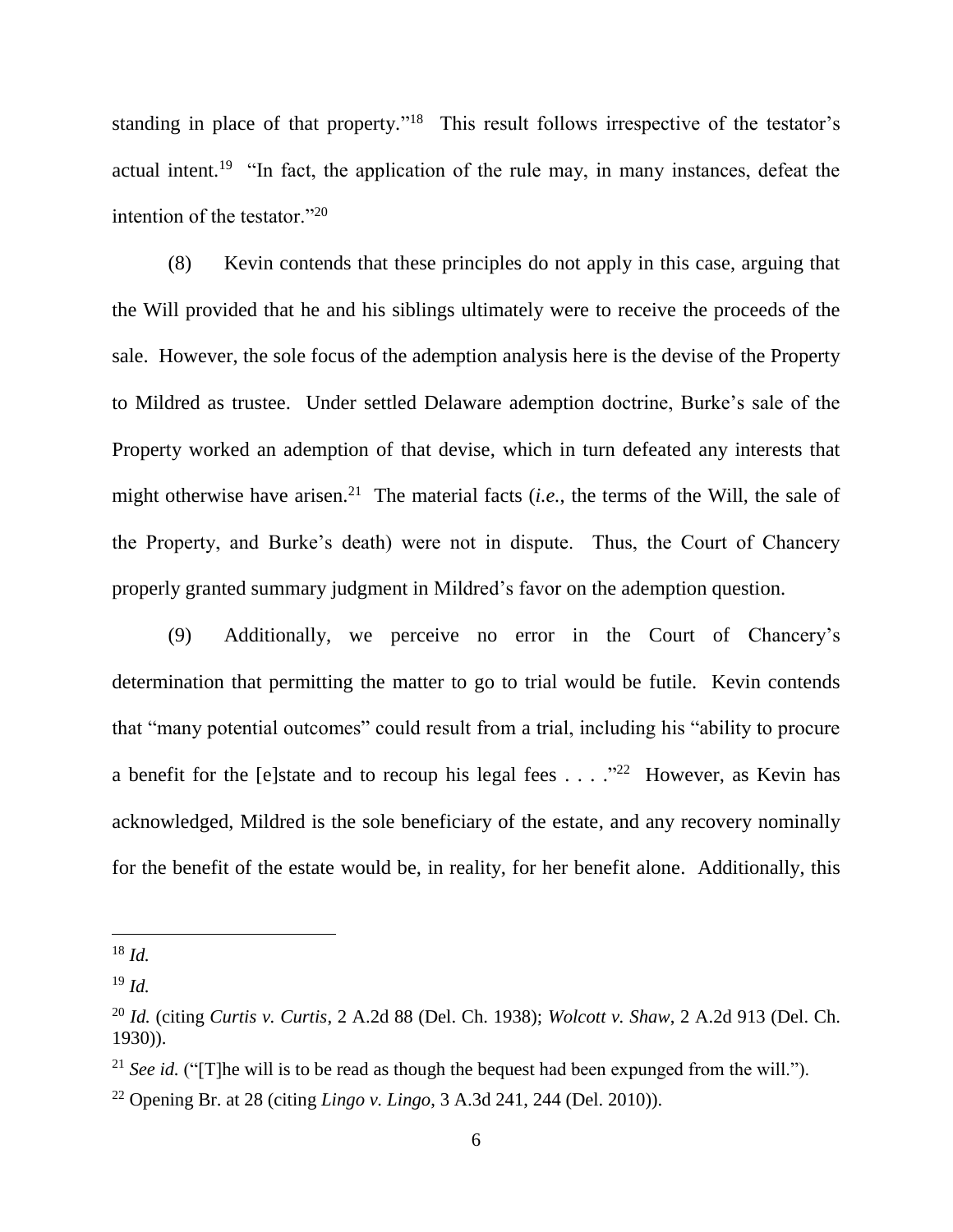standing in place of that property."<sup>18</sup> This result follows irrespective of the testator's actual intent.<sup>19</sup> "In fact, the application of the rule may, in many instances, defeat the intention of the testator."<sup>20</sup>

(8) Kevin contends that these principles do not apply in this case, arguing that the Will provided that he and his siblings ultimately were to receive the proceeds of the sale. However, the sole focus of the ademption analysis here is the devise of the Property to Mildred as trustee. Under settled Delaware ademption doctrine, Burke's sale of the Property worked an ademption of that devise, which in turn defeated any interests that might otherwise have arisen.<sup>21</sup> The material facts  $(i.e.,$  the terms of the Will, the sale of the Property, and Burke's death) were not in dispute. Thus, the Court of Chancery properly granted summary judgment in Mildred's favor on the ademption question.

(9) Additionally, we perceive no error in the Court of Chancery's determination that permitting the matter to go to trial would be futile. Kevin contends that "many potential outcomes" could result from a trial, including his "ability to procure a benefit for the [e]state and to recoup his legal fees  $\dots$  ."<sup>22</sup> However, as Kevin has acknowledged, Mildred is the sole beneficiary of the estate, and any recovery nominally for the benefit of the estate would be, in reality, for her benefit alone. Additionally, this

<sup>18</sup> *Id.*

<sup>19</sup> *Id.*

<sup>20</sup> *Id.* (citing *Curtis v. Curtis*, 2 A.2d 88 (Del. Ch. 1938); *Wolcott v. Shaw*, 2 A.2d 913 (Del. Ch. 1930)).

<sup>&</sup>lt;sup>21</sup> *See id.* ("[T]he will is to be read as though the bequest had been expunged from the will.").

<sup>22</sup> Opening Br. at 28 (citing *Lingo v. Lingo*, 3 A.3d 241, 244 (Del. 2010)).